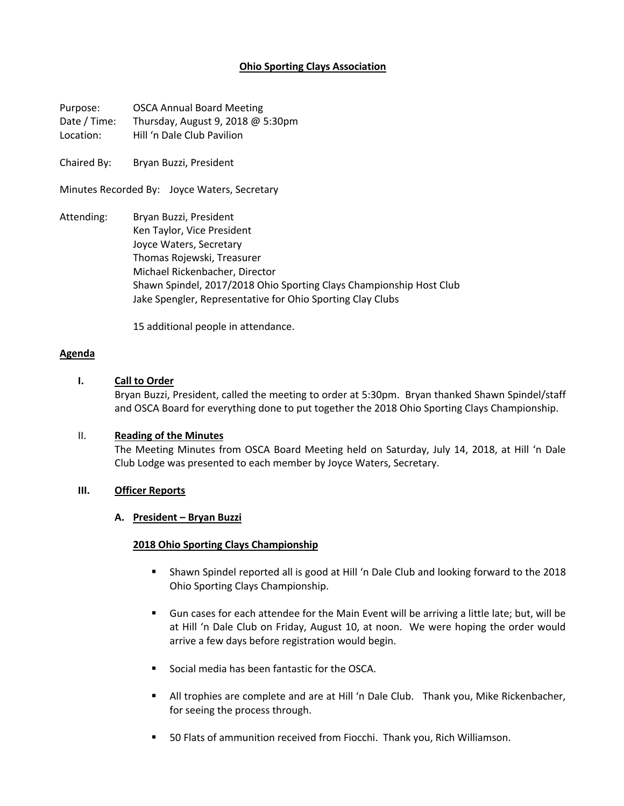# **Ohio Sporting Clays Association**

Purpose: OSCA Annual Board Meeting Date / Time: Thursday, August 9, 2018 @ 5:30pm Location: Hill 'n Dale Club Pavilion

Chaired By: Bryan Buzzi, President

Minutes Recorded By: Joyce Waters, Secretary

Attending: Bryan Buzzi, President Ken Taylor, Vice President Joyce Waters, Secretary Thomas Rojewski, Treasurer Michael Rickenbacher, Director Shawn Spindel, 2017/2018 Ohio Sporting Clays Championship Host Club Jake Spengler, Representative for Ohio Sporting Clay Clubs

15 additional people in attendance.

#### **Agenda**

## **I. Call to Order**

Bryan Buzzi, President, called the meeting to order at 5:30pm. Bryan thanked Shawn Spindel/staff and OSCA Board for everything done to put together the 2018 Ohio Sporting Clays Championship.

### II. **Reading of the Minutes**

The Meeting Minutes from OSCA Board Meeting held on Saturday, July 14, 2018, at Hill 'n Dale Club Lodge was presented to each member by Joyce Waters, Secretary.

### **III. Officer Reports**

#### **A. President – Bryan Buzzi**

#### **2018 Ohio Sporting Clays Championship**

- Shawn Spindel reported all is good at Hill 'n Dale Club and looking forward to the 2018 Ohio Sporting Clays Championship.
- § Gun cases for each attendee for the Main Event will be arriving a little late; but, will be at Hill 'n Dale Club on Friday, August 10, at noon. We were hoping the order would arrive a few days before registration would begin.
- Social media has been fantastic for the OSCA.
- **■** All trophies are complete and are at Hill 'n Dale Club. Thank you, Mike Rickenbacher, for seeing the process through.
- 50 Flats of ammunition received from Fiocchi. Thank you, Rich Williamson.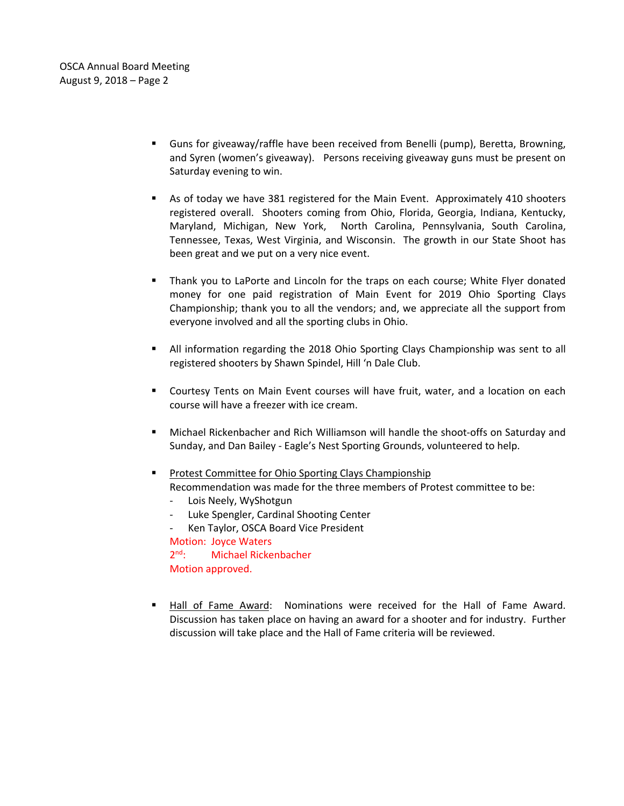- § Guns for giveaway/raffle have been received from Benelli (pump), Beretta, Browning, and Syren (women's giveaway). Persons receiving giveaway guns must be present on Saturday evening to win.
- § As of today we have 381 registered for the Main Event. Approximately 410 shooters registered overall. Shooters coming from Ohio, Florida, Georgia, Indiana, Kentucky, Maryland, Michigan, New York, North Carolina, Pennsylvania, South Carolina, Tennessee, Texas, West Virginia, and Wisconsin. The growth in our State Shoot has been great and we put on a very nice event.
- § Thank you to LaPorte and Lincoln for the traps on each course; White Flyer donated money for one paid registration of Main Event for 2019 Ohio Sporting Clays Championship; thank you to all the vendors; and, we appreciate all the support from everyone involved and all the sporting clubs in Ohio.
- **E** All information regarding the 2018 Ohio Sporting Clays Championship was sent to all registered shooters by Shawn Spindel, Hill 'n Dale Club.
- § Courtesy Tents on Main Event courses will have fruit, water, and a location on each course will have a freezer with ice cream.
- Michael Rickenbacher and Rich Williamson will handle the shoot-offs on Saturday and Sunday, and Dan Bailey - Eagle's Nest Sporting Grounds, volunteered to help.
- **Protest Committee for Ohio Sporting Clays Championship** Recommendation was made for the three members of Protest committee to be:
	- Lois Neely, WyShotgun
	- Luke Spengler, Cardinal Shooting Center
	- Ken Taylor, OSCA Board Vice President Motion: Joyce Waters 2<sup>nd</sup>: Michael Rickenbacher Motion approved.
- § Hall of Fame Award: Nominations were received for the Hall of Fame Award. Discussion has taken place on having an award for a shooter and for industry. Further discussion will take place and the Hall of Fame criteria will be reviewed.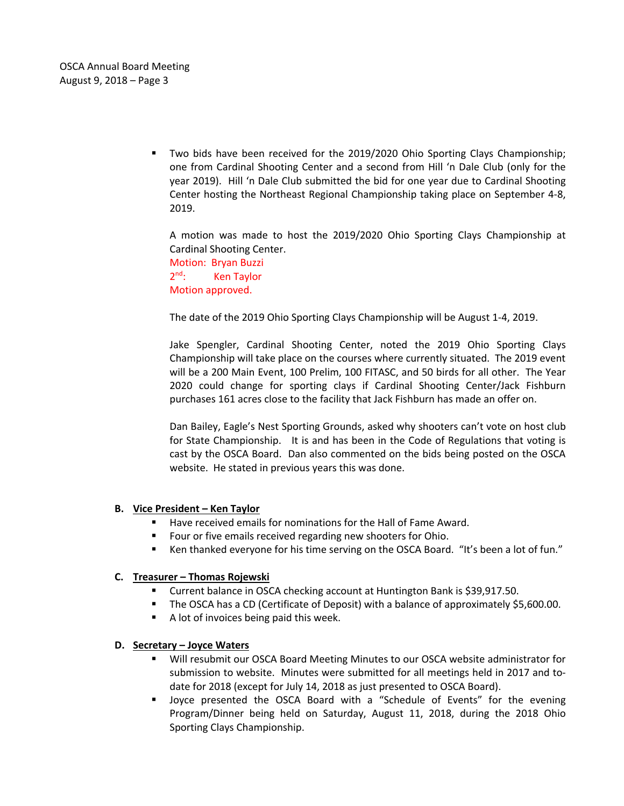§ Two bids have been received for the 2019/2020 Ohio Sporting Clays Championship; one from Cardinal Shooting Center and a second from Hill 'n Dale Club (only for the year 2019). Hill 'n Dale Club submitted the bid for one year due to Cardinal Shooting Center hosting the Northeast Regional Championship taking place on September 4-8, 2019.

A motion was made to host the 2019/2020 Ohio Sporting Clays Championship at Cardinal Shooting Center. Motion: Bryan Buzzi 2<sup>nd</sup>: Ken Taylor Motion approved.

The date of the 2019 Ohio Sporting Clays Championship will be August 1-4, 2019.

Jake Spengler, Cardinal Shooting Center, noted the 2019 Ohio Sporting Clays Championship will take place on the courses where currently situated. The 2019 event will be a 200 Main Event, 100 Prelim, 100 FITASC, and 50 birds for all other. The Year 2020 could change for sporting clays if Cardinal Shooting Center/Jack Fishburn purchases 161 acres close to the facility that Jack Fishburn has made an offer on.

Dan Bailey, Eagle's Nest Sporting Grounds, asked why shooters can't vote on host club for State Championship. It is and has been in the Code of Regulations that voting is cast by the OSCA Board. Dan also commented on the bids being posted on the OSCA website. He stated in previous years this was done.

## **B. Vice President – Ken Taylor**

- Have received emails for nominations for the Hall of Fame Award.
- Four or five emails received regarding new shooters for Ohio.
- Ken thanked everyone for his time serving on the OSCA Board. "It's been a lot of fun."

## **C. Treasurer – Thomas Rojewski**

- Current balance in OSCA checking account at Huntington Bank is \$39,917.50.
- **The OSCA has a CD (Certificate of Deposit) with a balance of approximately \$5,600.00.**
- A lot of invoices being paid this week.

#### **D. Secretary – Joyce Waters**

- Will resubmit our OSCA Board Meeting Minutes to our OSCA website administrator for submission to website. Minutes were submitted for all meetings held in 2017 and todate for 2018 (except for July 14, 2018 as just presented to OSCA Board).
- § Joyce presented the OSCA Board with a "Schedule of Events" for the evening Program/Dinner being held on Saturday, August 11, 2018, during the 2018 Ohio Sporting Clays Championship.